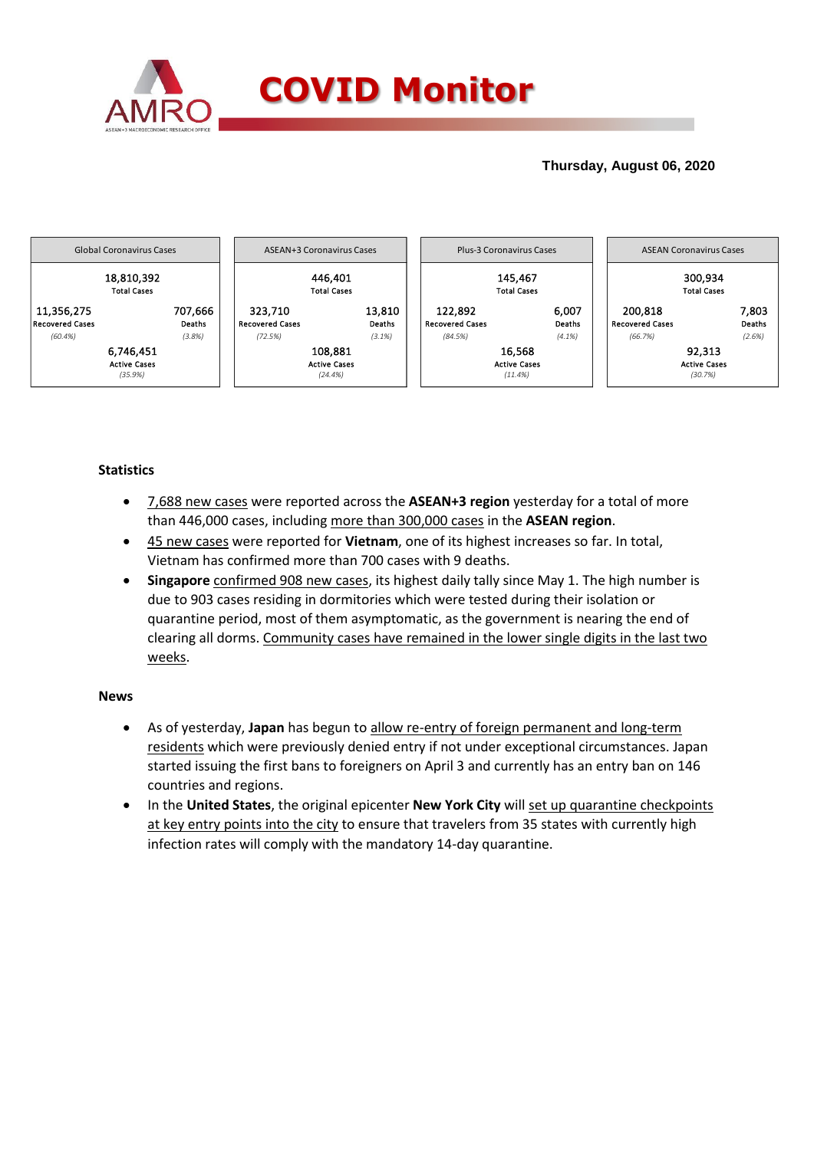

## **Thursday, August 06, 2020**



## **Statistics**

- 7,688 new cases were reported across the **ASEAN+3 region** yesterday for a total of more than 446,000 cases, including more than 300,000 cases in the **ASEAN region**.
- 45 new cases were reported for **Vietnam**, one of its highest increases so far. In total, Vietnam has confirmed more than 700 cases with 9 deaths.
- **Singapore** confirmed 908 new cases, its highest daily tally since May 1. The high number is due to 903 cases residing in dormitories which were tested during their isolation or quarantine period, most of them asymptomatic, as the government is nearing the end of clearing all dorms. Community cases have remained in the lower single digits in the last two weeks.

### **News**

- As of yesterday, **Japan** has begun to allow re-entry of foreign permanent and long-term residents which were previously denied entry if not under exceptional circumstances. Japan started issuing the first bans to foreigners on April 3 and currently has an entry ban on 146 countries and regions.
- In the **United States**, the original epicenter **New York City** will set up quarantine checkpoints at key entry points into the city to ensure that travelers from 35 states with currently high infection rates will comply with the mandatory 14-day quarantine.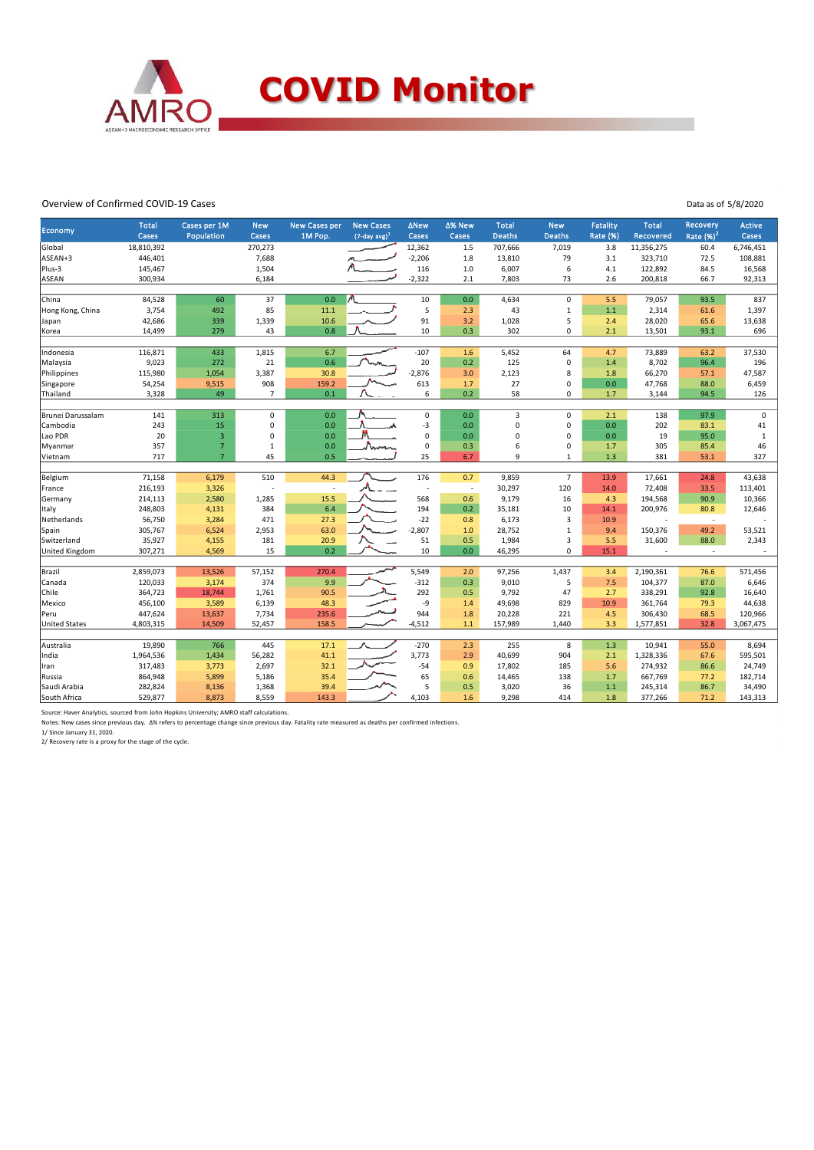

#### Overview of Confirmed COVID-19 Cases

| Overview of Confirmed COVID-19 Cases<br>Data as of 5/8/2020 |                       |                            |                     |                                 |                                         |                      |                 |                               |                             |                                    |                           |                          |                        |
|-------------------------------------------------------------|-----------------------|----------------------------|---------------------|---------------------------------|-----------------------------------------|----------------------|-----------------|-------------------------------|-----------------------------|------------------------------------|---------------------------|--------------------------|------------------------|
| <b>Economy</b>                                              | <b>Total</b><br>Cases | Cases per 1M<br>Population | <b>New</b><br>Cases | <b>New Cases per</b><br>1M Pop. | <b>New Cases</b><br>$(7$ -day avg $)^1$ | <b>ANew</b><br>Cases | ∆% New<br>Cases | <b>Total</b><br><b>Deaths</b> | <b>New</b><br><b>Deaths</b> | <b>Fatality</b><br><b>Rate (%)</b> | <b>Total</b><br>Recovered | Recovery<br>Rate $(%)2$  | <b>Active</b><br>Cases |
| Global                                                      | 18,810,392            |                            | 270,273             |                                 |                                         | 12,362               | 1.5             | 707,666                       | 7,019                       | 3.8                                | 11,356,275                | 60.4                     | 6,746,451              |
| ASEAN+3                                                     | 446,401               |                            | 7,688               |                                 |                                         | $-2,206$             | 1.8             | 13,810                        | 79                          | 3.1                                | 323,710                   | 72.5                     | 108,881                |
| Plus-3                                                      | 145,467               |                            | 1,504               |                                 |                                         | 116                  | 1.0             | 6,007                         | 6                           | 4.1                                | 122,892                   | 84.5                     | 16,568                 |
| ASEAN                                                       | 300,934               |                            | 6,184               |                                 |                                         | $-2,322$             | 2.1             | 7,803                         | 73                          | 2.6                                | 200,818                   | 66.7                     | 92,313                 |
|                                                             |                       |                            |                     |                                 |                                         |                      |                 |                               |                             |                                    |                           |                          |                        |
| China                                                       | 84,528                | 60                         | 37                  | 0.0                             |                                         | 10                   | 0.0             | 4,634                         | 0                           | 5.5                                | 79,057                    | 93.5                     | 837                    |
| Hong Kong, China                                            | 3,754                 | 492                        | 85                  | 11.1                            |                                         | 5                    | 2.3             | 43                            | $\mathbf{1}$                | 1.1                                | 2,314                     | 61.6                     | 1,397                  |
| Japan                                                       | 42,686                | 339                        | 1,339               | 10.6                            |                                         | 91                   | 3.2             | 1,028                         | 5                           | 2.4                                | 28,020                    | 65.6                     | 13,638                 |
| Korea                                                       | 14,499                | 279                        | 43                  | 0.8                             |                                         | 10                   | 0.3             | 302                           | 0                           | 2.1                                | 13,501                    | 93.1                     | 696                    |
|                                                             |                       |                            |                     |                                 |                                         |                      |                 |                               |                             |                                    |                           |                          |                        |
| Indonesia                                                   | 116,871               | 433                        | 1,815               | 6.7                             |                                         | $-107$               | 1.6             | 5,452                         | 64                          | 4.7                                | 73,889                    | 63.2                     | 37,530                 |
| Malaysia                                                    | 9,023                 | 272                        | 21                  | 0.6                             |                                         | 20                   | 0.2             | 125                           | $\Omega$                    | 1.4                                | 8,702                     | 96.4                     | 196                    |
| Philippines                                                 | 115,980               | 1,054                      | 3,387               | 30.8                            |                                         | $-2,876$             | 3.0             | 2,123                         | 8                           | 1.8                                | 66,270                    | 57.1                     | 47,587                 |
| Singapore                                                   | 54,254                | 9,515                      | 908                 | 159.2                           |                                         | 613                  | 1.7             | 27                            | $\Omega$                    | 0.0                                | 47,768                    | 88.0                     | 6,459                  |
| Thailand                                                    | 3,328                 | 49                         | $\overline{7}$      | 0.1                             |                                         | 6                    | 0.2             | 58                            | 0                           | 1.7                                | 3,144                     | 94.5                     | 126                    |
| Brunei Darussalam                                           | 141                   | 313                        | 0                   | 0.0                             |                                         | $\mathsf 0$          | 0.0             | 3                             | $\Omega$                    | 2.1                                | 138                       | 97.9                     | $\mathbf 0$            |
| Cambodia                                                    | 243                   | 15                         | $\mathsf 0$         | 0.0                             |                                         | $-3$                 | 0.0             | 0                             | 0                           | 0.0                                | 202                       | 83.1                     | 41                     |
| Lao PDR                                                     | 20                    | $\overline{3}$             | $\mathbf 0$         | 0.0                             | M                                       | $\mathbf 0$          | 0.0             | 0                             | 0                           | 0.0                                | 19                        | 95.0                     | 1                      |
| Myanmar                                                     | 357                   | $\overline{7}$             | 1                   | 0.0                             |                                         | $\mathsf 0$          | 0.3             | 6                             | 0                           | 1.7                                | 305                       | 85.4                     | 46                     |
| Vietnam                                                     | 717                   | $\overline{7}$             | 45                  | 0.5                             |                                         | 25                   | 6.7             | 9                             | 1                           | 1.3                                | 381                       | 53.1                     | 327                    |
|                                                             |                       |                            |                     |                                 |                                         |                      |                 |                               |                             |                                    |                           |                          |                        |
| Belgium                                                     | 71,158                | 6,179                      | 510                 | 44.3                            |                                         | 176                  | 0.7             | 9,859                         | $\overline{7}$              | 13.9                               | 17,661                    | 24.8                     | 43,638                 |
| France                                                      | 216,193               | 3,326                      |                     |                                 |                                         | $\sim$               | $\sim$          | 30,297                        | 120                         | 14.0                               | 72,408                    | 33.5                     | 113,401                |
| Germany                                                     | 214,113               | 2,580                      | 1,285               | 15.5                            |                                         | 568                  | 0.6             | 9,179                         | 16                          | 4.3                                | 194,568                   | 90.9                     | 10,366                 |
| Italy                                                       | 248,803               | 4,131                      | 384                 | 6.4                             |                                         | 194                  | 0.2             | 35,181                        | 10                          | 14.1                               | 200,976                   | 80.8                     | 12,646                 |
| Netherlands                                                 | 56,750                | 3,284                      | 471                 | 27.3                            |                                         | $-22$                | 0.8             | 6,173                         | $\overline{3}$              | 10.9                               |                           | $\overline{\phantom{a}}$ |                        |
| Spain                                                       | 305,767               | 6,524                      | 2,953               | 63.0                            |                                         | $-2,807$             | 1.0             | 28,752                        | 1                           | 9.4                                | 150,376                   | 49.2                     | 53,521                 |
| Switzerland                                                 | 35,927                | 4,155                      | 181                 | 20.9                            |                                         | 51                   | 0.5             | 1,984                         | 3                           | 5.5                                | 31,600                    | 88.0                     | 2,343                  |
| United Kingdom                                              | 307,271               | 4,569                      | 15                  | 0.2                             |                                         | 10                   | 0.0             | 46,295                        | 0                           | 15.1                               |                           | $\overline{\phantom{a}}$ |                        |
|                                                             |                       |                            |                     |                                 |                                         |                      |                 |                               |                             |                                    |                           |                          |                        |
| Brazil                                                      | 2,859,073             | 13,526                     | 57,152              | 270.4                           |                                         | 5,549                | 2.0             | 97,256                        | 1,437                       | 3.4                                | 2,190,361                 | 76.6                     | 571,456                |
| Canada                                                      | 120,033               | 3,174                      | 374                 | 9.9                             |                                         | $-312$               | 0.3             | 9,010                         | 5                           | 7.5                                | 104,377                   | 87.0                     | 6,646                  |
| Chile                                                       | 364,723               | 18,744                     | 1,761               | 90.5                            |                                         | 292                  | 0.5             | 9,792                         | 47                          | 2.7                                | 338,291                   | 92.8                     | 16,640                 |
| Mexico                                                      | 456,100               | 3,589                      | 6,139               | 48.3                            |                                         | -9                   | 1.4             | 49,698                        | 829                         | 10.9                               | 361,764                   | 79.3                     | 44,638                 |
| Peru                                                        | 447,624               | 13,637                     | 7,734               | 235.6                           |                                         | 944                  | 1.8             | 20,228                        | 221                         | 4.5                                | 306,430                   | 68.5                     | 120,966                |
| <b>United States</b>                                        | 4,803,315             | 14,509                     | 52,457              | 158.5                           |                                         | $-4,512$             | 1.1             | 157,989                       | 1,440                       | 3.3                                | 1,577,851                 | 32.8                     | 3,067,475              |
| Australia                                                   | 19,890                | 766                        | 445                 | 17.1                            |                                         | $-270$               | 2.3             | 255                           | 8                           | 1.3                                | 10,941                    | 55.0                     | 8,694                  |
| India                                                       | 1,964,536             | 1,434                      | 56,282              | 41.1                            |                                         | 3,773                | 2.9             | 40,699                        | 904                         | 2.1                                | 1,328,336                 | 67.6                     | 595,501                |
| Iran                                                        | 317,483               | 3,773                      | 2,697               | 32.1                            |                                         | $-54$                | 0.9             | 17,802                        | 185                         | 5.6                                | 274,932                   | 86.6                     | 24,749                 |
| Russia                                                      | 864,948               | 5,899                      | 5,186               | 35.4                            |                                         | 65                   | 0.6             | 14,465                        | 138                         | 1.7                                | 667,769                   | 77.2                     | 182,714                |
| Saudi Arabia                                                | 282,824               | 8,136                      | 1,368               | 39.4                            |                                         | 5                    | 0.5             | 3,020                         | 36                          | 1.1                                | 245,314                   | 86.7                     | 34,490                 |
| South Africa                                                | 529,877               | 8,873                      | 8,559               | 143.3                           |                                         | 4,103                | 1.6             | 9,298                         | 414                         | 1.8                                | 377,266                   | 71.2                     | 143,313                |
|                                                             |                       |                            |                     |                                 |                                         |                      |                 |                               |                             |                                    |                           |                          |                        |

Source: Haver Analytics, sourced from John Hopkins University; AMRO staff calculations.

Notes: New cases since previous day. Δ% refers to percentage change since previous day. Fatality rate measured as deaths per confirmed infections.<br>1/ Since January 31, 2020.

2/ Recovery rate is a proxy for the stage of the cycle.